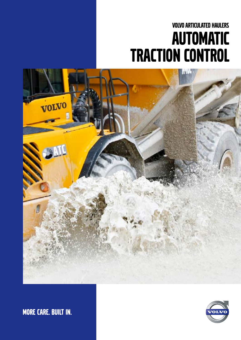# VOLVO articulated haulERS Automatic Traction Control



**MORE CARE. BUILT IN.** 

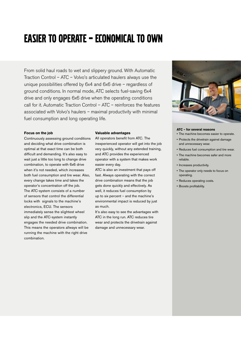### Easier to operate – economical to own

From solid haul roads to wet and slippery ground. With Automatic Traction Control – ATC – Volvo's articulated haulers always use the unique possibilities offered by 6x4 and 6x6 drive – regardless of ground conditions. In normal mode, ATC selects fuel-saving 6x4 drive and only engages 6x6 drive when the operating conditions call for it. Automatic Traction Control – ATC – reinforces the features associated with Volvo's haulers – maximal productivity with minimal fuel consumption and long operating life.

### **Focus on the job**

Continuously assessing ground conditions and deciding what drive combination is optimal at that exact time can be both difficult and demanding. It's also easy to wait just a little too long to change drive combination, to operate with 6x6 drive when it's not needed, which increases both fuel consumption and tire wear. Also, every change takes time and takes the operator's concentration off the job. The ATC-system consists of a number of sensors that control the differential locks with signals to the machine's electronics, ECU. The sensors immediately sense the slightest wheel slip and the ATC-system instantly engages the needed drive combination. This means the operators allways will be running the machine with the right drive combination.

### **Valuable advantages**

All operators benefit from ATC. The inexperienced operator will get into the job very quickly, without any extended training, and ATC provides the experienced operator with a system that makes work easier every day.

ATC is also an investment that pays off fast. Always operating with the correct drive combination means that the job gets done quickly and effectively. As well, it reduces fuel consumption by up to six percent – and the machine's environmental impact is reduced by just as much.

It's also easy to see the advantages with ATC in the long run. ATC reduces tire wear and protects the drivetrain against damage and unnecessary wear.



#### **ATC – for several reasons**

- The machine becomes easier to operate.
- • Protects the drivetrain against damage and unnecessary wear.
- • Reduces fuel consumption and tire wear.
- The machine becomes safer and more reliable.
- • Increases productivity.
- The operator only needs to focus on operating.
- • Reduces operating costs.
- • Boosts profitability.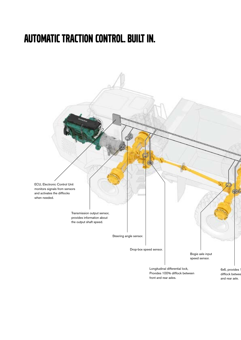## AUTOMATIC TRACTION CONTROL. BUILT IN.

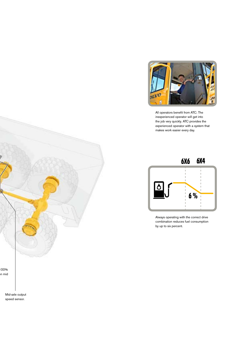

All operators benefit from ATC. The inexperienced operator will get into the job very quickly. ATC provides the experienced operator with a system that makes work easier every day.



Always operating with the correct drive combination reduces fuel consumption by up to six percent.



00% n mid

> Mid-axle output speed sensor.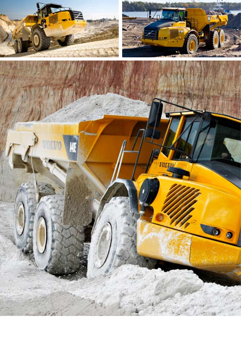